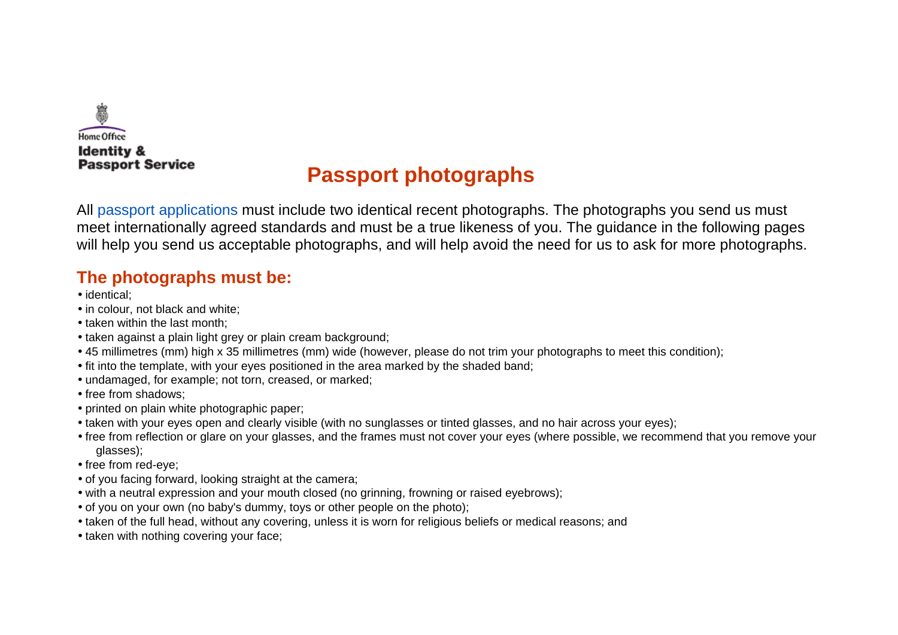

# **[Passport photographs](https://deedpolloffice.com/change-name/who-to-tell/passport/photographs)**

All [passport applications](https://deedpolloffice.com/change-name/who-to-tell/passport) must include two identical recent photographs. The photographs you send us must meet internationally agreed standards and must be a true likeness of you. The guidance in the following pages will help you send us acceptable photographs, and will help avoid the need for us to ask for more photographs.

### **The photographs must be:**

- identical;
- in colour, not black and white;
- taken within the last month;
- taken against a plain light grey or plain cream background;
- 45 millimetres (mm) high x 35 millimetres (mm) wide (however, please do not trim your photographs to meet this condition);
- fit into the template, with your eyes positioned in the area marked by the shaded band;
- undamaged, for example; not torn, creased, or marked;
- free from shadows;
- printed on plain white photographic paper;
- taken with your eyes open and clearly visible (with no sunglasses or tinted glasses, and no hair across your eyes);
- free from reflection or glare on your glasses, and the frames must not cover your eyes (where possible, we recommend that you remove your glasses);
- free from red-eye;
- of you facing forward, looking straight at the camera;
- with a neutral expression and your mouth closed (no grinning, frowning or raised eyebrows);
- of you on your own (no baby's dummy, toys or other people on the photo);
- taken of the full head, without any covering, unless it is worn for religious beliefs or medical reasons; and
- taken with nothing covering your face;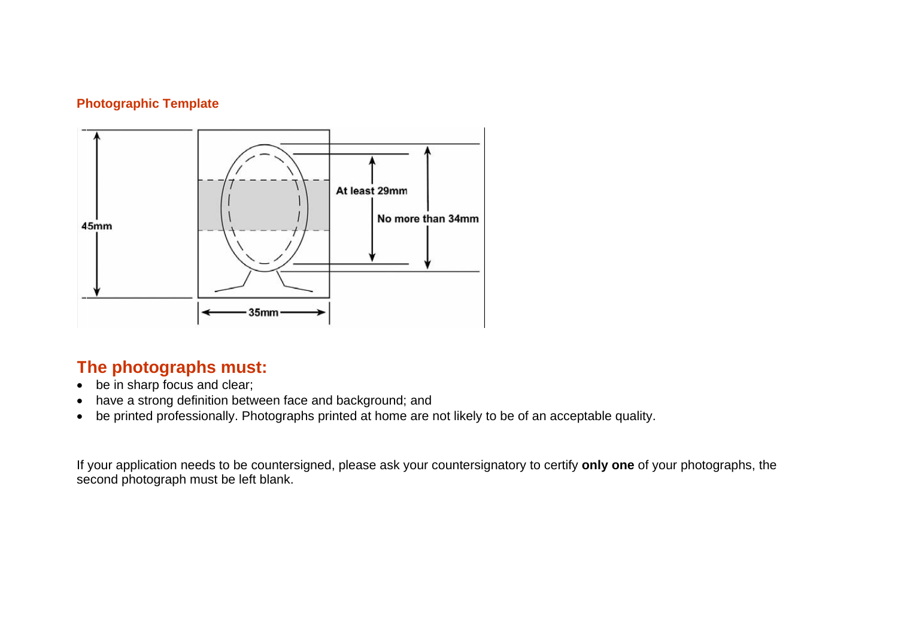#### **Photographic Template**



## **The photographs must:**

- be in sharp focus and clear;
- have a strong definition between face and background; and
- be printed professionally. Photographs printed at home are not likely to be of an acceptable quality.

If your application needs to be countersigned, please ask your countersignatory to certify **only one** of your photographs, the second photograph must be left blank.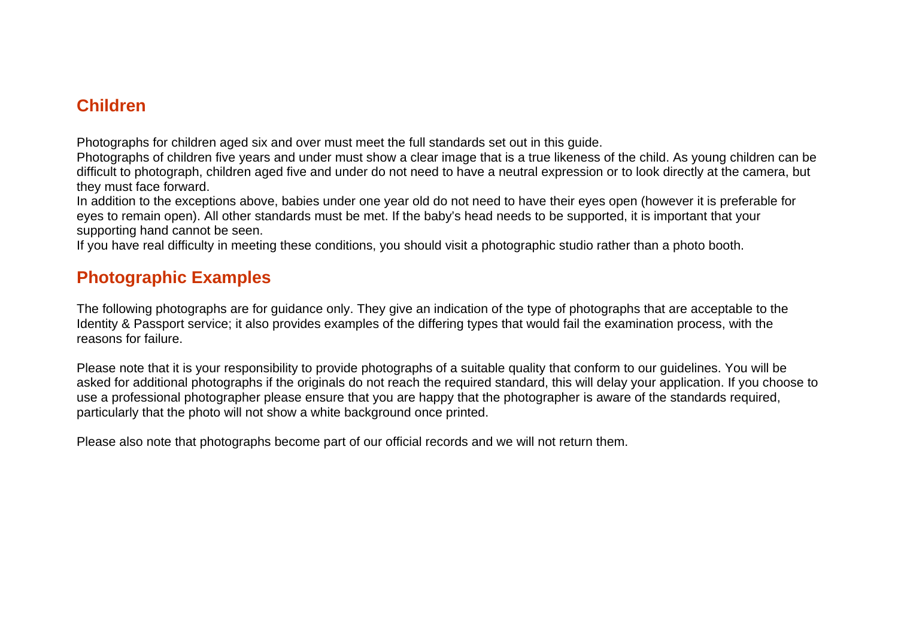### **Children**

Photographs for children aged six and over must meet the full standards set out in this guide.

Photographs of children five years and under must show a clear image that is a true likeness of the child. As young children can be difficult to photograph, children aged five and under do not need to have a neutral expression or to look directly at the camera, but they must face forward.

In addition to the exceptions above, babies under one year old do not need to have their eyes open (however it is preferable for eyes to remain open). All other standards must be met. If the baby's head needs to be supported, it is important that your supporting hand cannot be seen.

If you have real difficulty in meeting these conditions, you should visit a photographic studio rather than a photo booth.

### **Photographic Examples**

The following photographs are for guidance only. They give an indication of the type of photographs that are acceptable to the Identity & Passport service; it also provides examples of the differing types that would fail the examination process, with the reasons for failure.

Please note that it is your responsibility to provide photographs of a suitable quality that conform to our guidelines. You will be asked for additional photographs if the originals do not reach the required standard, this will delay your application. If you choose to use a professional photographer please ensure that you are happy that the photographer is aware of the standards required, particularly that the photo will not show a white background once printed.

Please also note that photographs become part of our official records and we will not return them.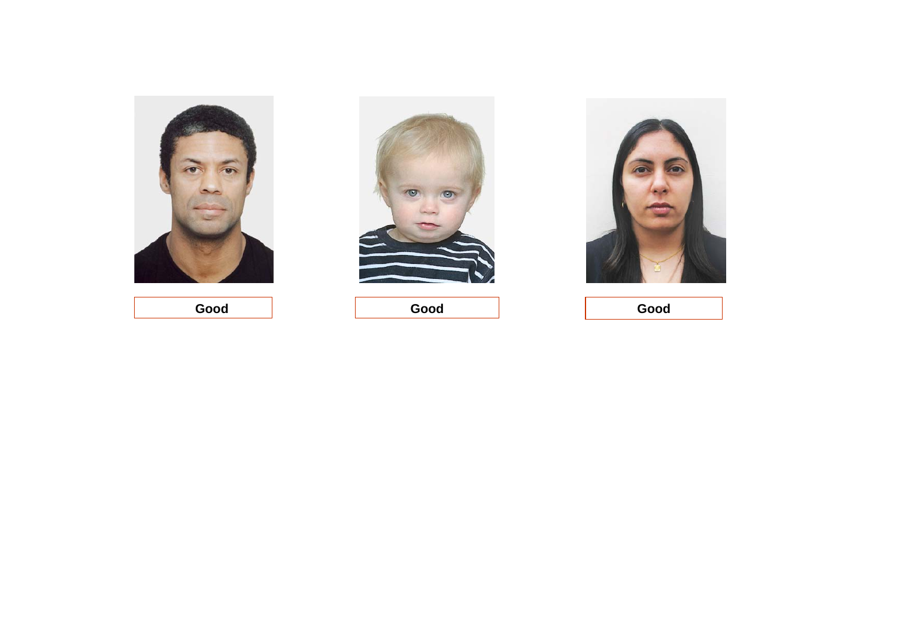



 **Good Good**



**Good**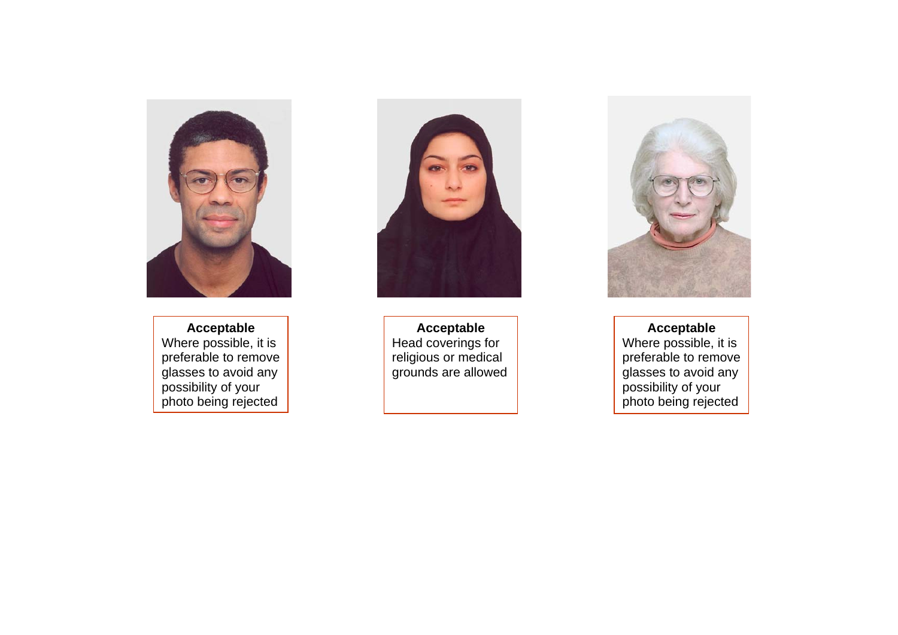

**Acceptable**  Where possible, it is preferable to remove glasses to avoid any possibility of your photo being rejected



**Acceptable** Head coverings for religious or medical grounds are allowed



#### **Acceptable**

Where possible, it is preferable to remove glasses to avoid any possibility of your photo being rejected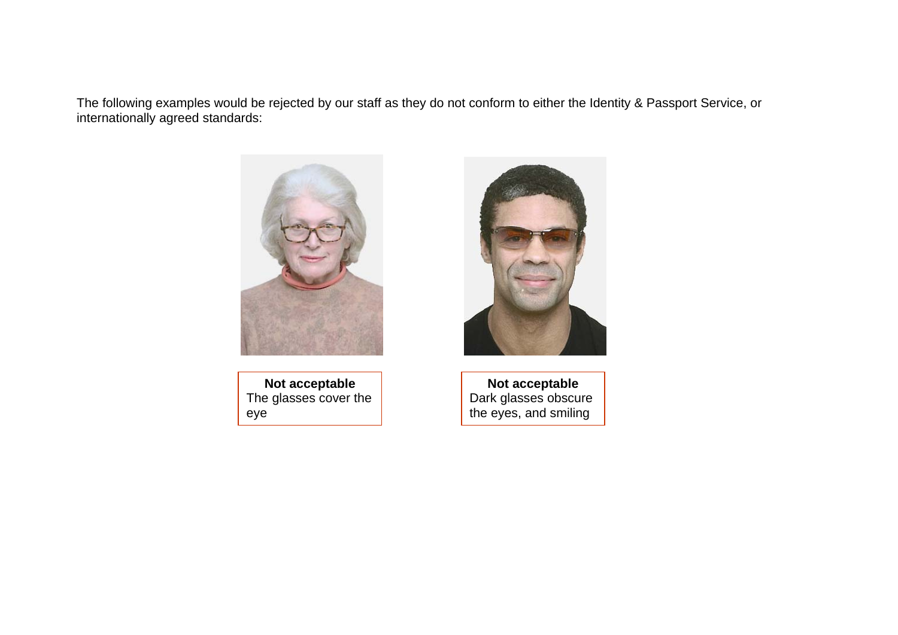The following examples would be rejected by our staff as they do not conform to either the Identity & Passport Service, or internationally agreed standards:



**Not acceptable**  The glasses cover the eye



**Not acceptable**  Dark glasses obscure the eyes, and smiling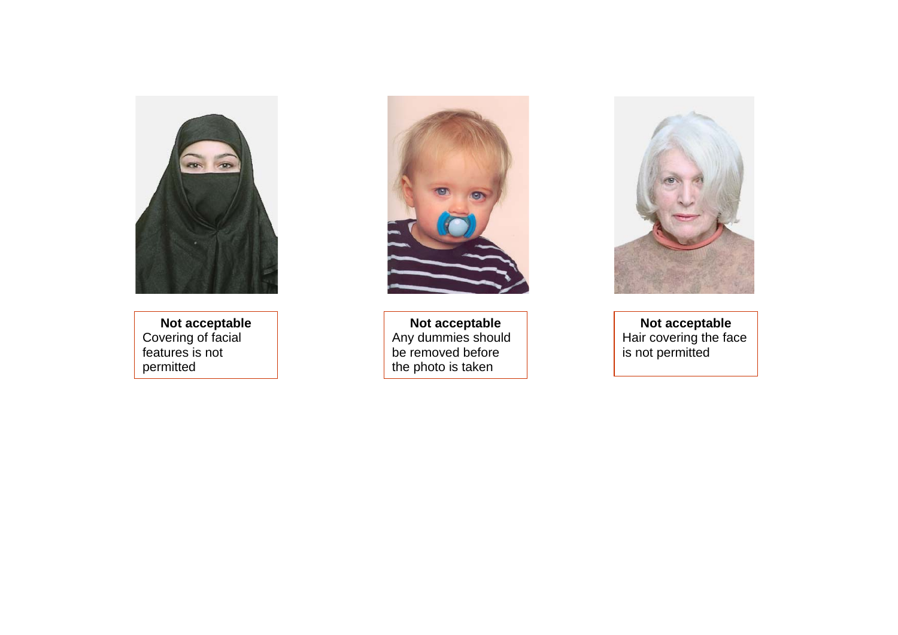

**Not acceptable**  Covering of facial features is not permitted



**Not acceptable**  Any dummies should be removed before the photo is taken



**Not acceptable**  Hair covering the face is not permitted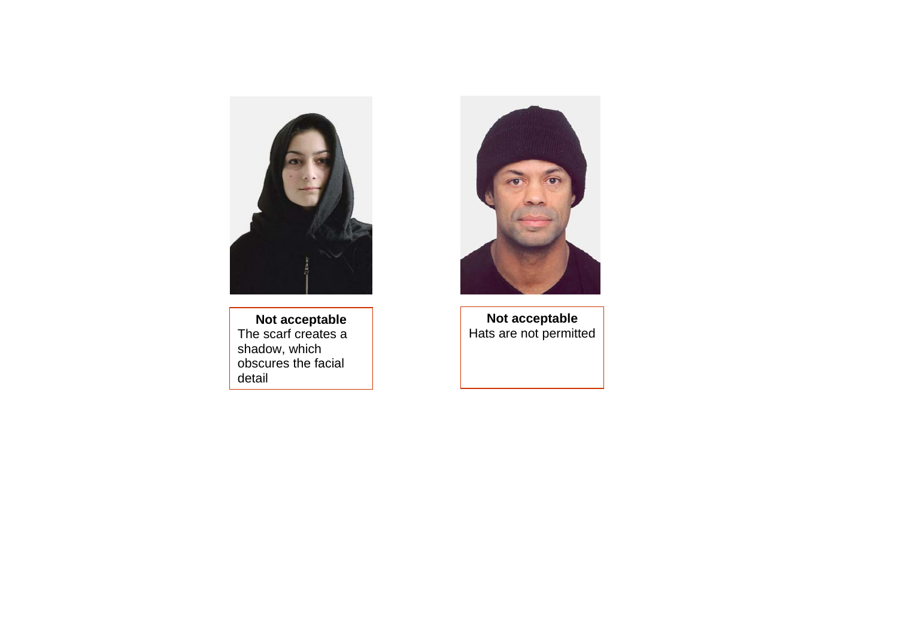

**Not acceptable**  The scarf creates a shadow, which obscures the facial detail



**Not acceptable**  Hats are not permitted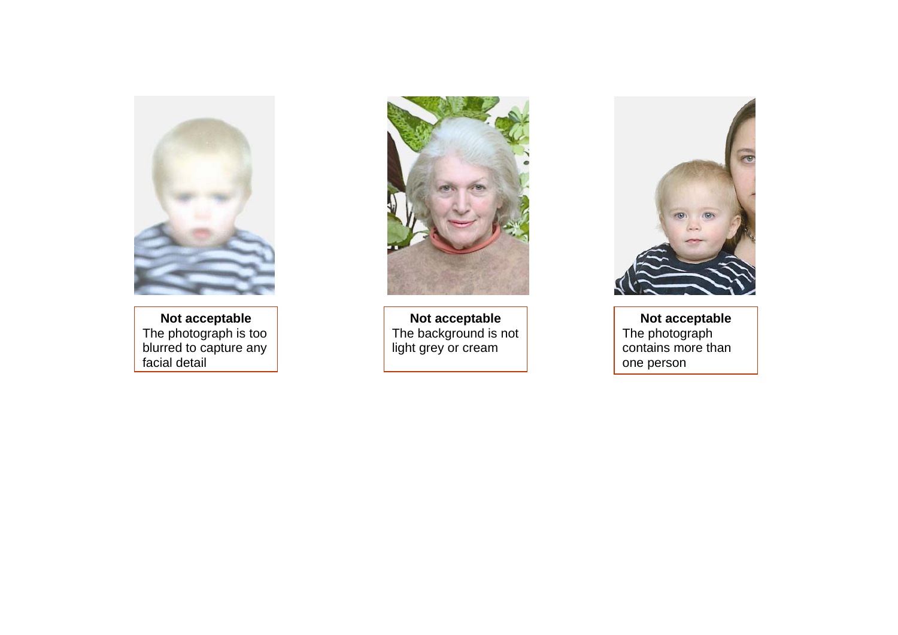

**Not acceptable**  The photograph is too blurred to capture any facial detail



**Not acceptable**  The background is not light grey or cream



**Not acceptable**  The photograph contains more than one person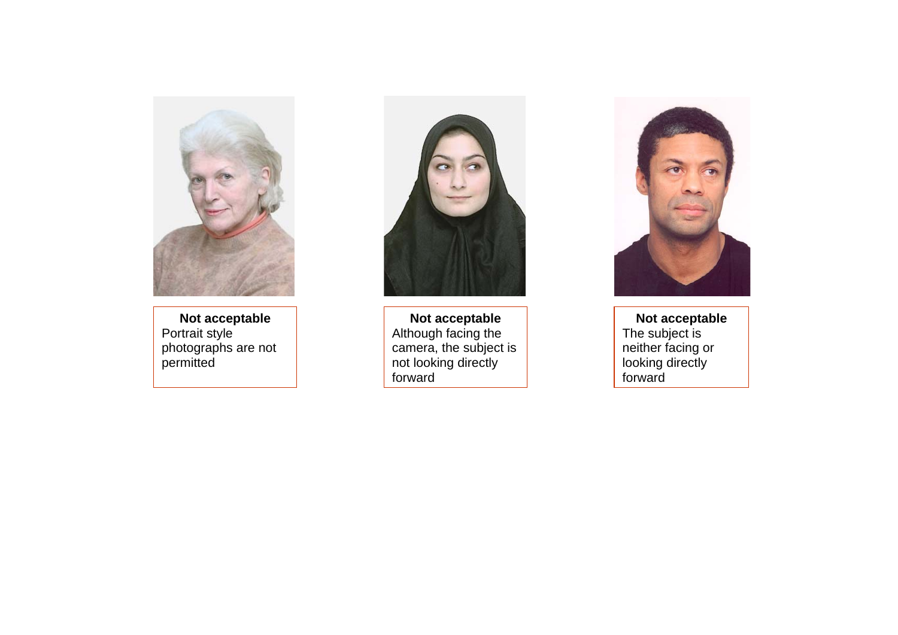

**Not acceptable**  Portrait style photographs are not permitted



**Not acceptable**  Although facing the camera, the subject is not looking directly forward



**Not acceptable**  The subject is neither facing or looking directly forward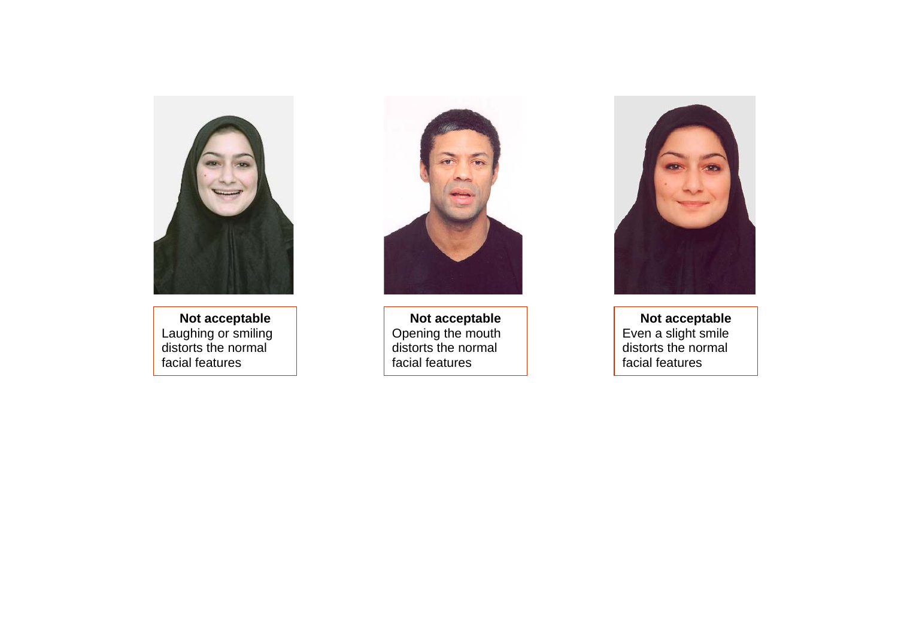

**Not acceptable**  Laughing or smiling distorts the normal facial features



**Not acceptable**  Opening the mouth distorts the normal facial features



**Not acceptable**  Even a slight smile distorts the normal facial features